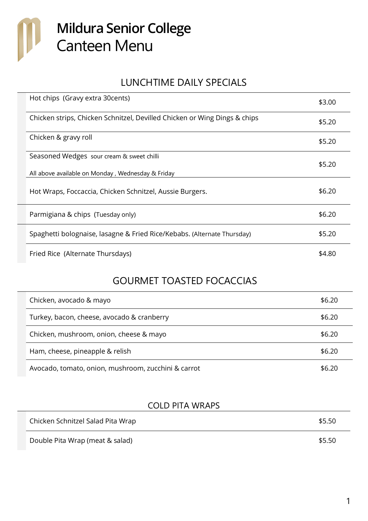

# **Mildura Senior College** Canteen Menu

# LUNCHTIME DAILY SPECIALS

| Hot chips (Gravy extra 30cents)                                           | \$3.00 |
|---------------------------------------------------------------------------|--------|
| Chicken strips, Chicken Schnitzel, Devilled Chicken or Wing Dings & chips | \$5.20 |
| Chicken & gravy roll                                                      | \$5.20 |
| Seasoned Wedges sour cream & sweet chilli                                 | \$5.20 |
| All above available on Monday, Wednesday & Friday                         |        |
| Hot Wraps, Foccaccia, Chicken Schnitzel, Aussie Burgers.                  | \$6.20 |
| Parmigiana & chips (Tuesday only)                                         | \$6.20 |
| Spaghetti bolognaise, lasagne & Fried Rice/Kebabs. (Alternate Thursday)   | \$5.20 |
| Fried Rice (Alternate Thursdays)                                          | \$4.80 |

# GOURMET TOASTED FOCACCIAS

| Chicken, avocado & mayo                             | \$6.20 |
|-----------------------------------------------------|--------|
| Turkey, bacon, cheese, avocado & cranberry          | \$6.20 |
| Chicken, mushroom, onion, cheese & mayo             | \$6.20 |
| Ham, cheese, pineapple & relish                     | \$6.20 |
| Avocado, tomato, onion, mushroom, zucchini & carrot | \$6.20 |

#### COLD PITA WRAPS

| Chicken Schnitzel Salad Pita Wrap | \$5.50 |
|-----------------------------------|--------|
| Double Pita Wrap (meat & salad)   | \$5.50 |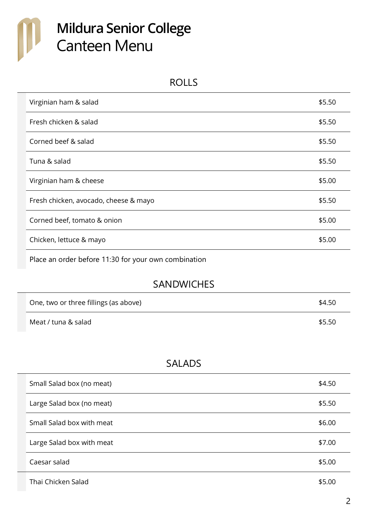# **Mildura Senior College** Canteen Menu

## ROLLS

| Virginian ham & salad                 | \$5.50 |
|---------------------------------------|--------|
| Fresh chicken & salad                 | \$5.50 |
| Corned beef & salad                   | \$5.50 |
| Tuna & salad                          | \$5.50 |
| Virginian ham & cheese                | \$5.00 |
| Fresh chicken, avocado, cheese & mayo | \$5.50 |
| Corned beef, tomato & onion           | \$5.00 |
| Chicken, lettuce & mayo               | \$5.00 |

Place an order before 11:30 for your own combination

# **SANDWICHES**

| One, two or three fillings (as above) | \$4.50 |
|---------------------------------------|--------|
| Meat / tuna & salad                   | \$5.50 |

#### SALADS

| Small Salad box (no meat) | \$4.50 |
|---------------------------|--------|
| Large Salad box (no meat) | \$5.50 |
| Small Salad box with meat | \$6.00 |
| Large Salad box with meat | \$7.00 |
| Caesar salad              | \$5.00 |
| Thai Chicken Salad        | \$5.00 |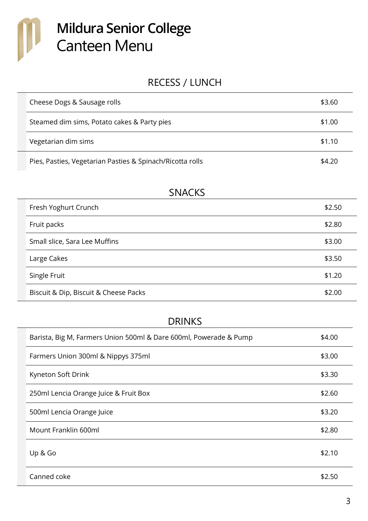

# **Mildura Senior College** Canteen Menu

# RECESS / LUNCH

| Cheese Dogs & Sausage rolls                               | \$3.60 |
|-----------------------------------------------------------|--------|
| Steamed dim sims, Potato cakes & Party pies               | \$1.00 |
| Vegetarian dim sims                                       | \$1.10 |
| Pies, Pasties, Vegetarian Pasties & Spinach/Ricotta rolls | \$4.20 |

# SNACKS

| Fresh Yoghurt Crunch                  | \$2.50 |
|---------------------------------------|--------|
| Fruit packs                           | \$2.80 |
| Small slice, Sara Lee Muffins         | \$3.00 |
| Large Cakes                           | \$3.50 |
| Single Fruit                          | \$1.20 |
| Biscuit & Dip, Biscuit & Cheese Packs | \$2.00 |

#### DRINKS

| Barista, Big M, Farmers Union 500ml & Dare 600ml, Powerade & Pump | \$4.00 |
|-------------------------------------------------------------------|--------|
| Farmers Union 300ml & Nippys 375ml                                | \$3.00 |
| Kyneton Soft Drink                                                | \$3.30 |
| 250ml Lencia Orange Juice & Fruit Box                             | \$2.60 |
| 500ml Lencia Orange Juice                                         | \$3.20 |
| Mount Franklin 600ml                                              | \$2.80 |
| Up & Go                                                           | \$2.10 |
| Canned coke                                                       | \$2.50 |